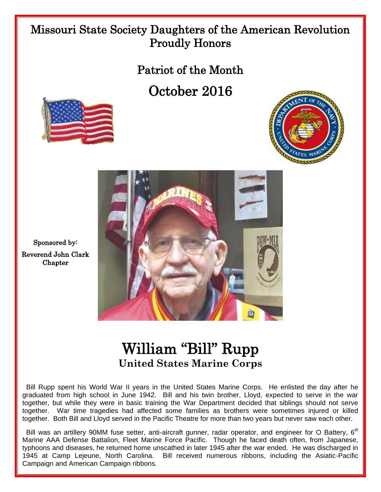## Missouri State Society Daughters of the American Revolution Proudly Honors

Patriot of the Month

October 2016







Sponsored by: Reverend John Clark Chapter

## William "Bill" Rupp **United States Marine Corps**

 Bill Rupp spent his World War II years in the United States Marine Corps. He enlisted the day after he graduated from high school in June 1942. Bill and his twin brother, Lloyd, expected to serve in the war together, but while they were in basic training the War Department decided that siblings should not serve together. War time tragedies had affected some families as brothers were sometimes injured or killed together. Both Bill and Lloyd served in the Pacific Theatre for more than two years but never saw each other.

Bill was an artillery 90MM fuse setter, anti-aircraft gunner, radar operator, and engineer for O Battery, 6<sup>th</sup> Marine AAA Defense Battalion, Fleet Marine Force Pacific. Though he faced death often, from Japanese, typhoons and diseases, he returned home unscathed in later 1945 after the war ended. He was discharged in 1945 at Camp Lejeune, North Carolina. Bill received numerous ribbons, including the Asiatic-Pacific Campaign and American Campaign ribbons.